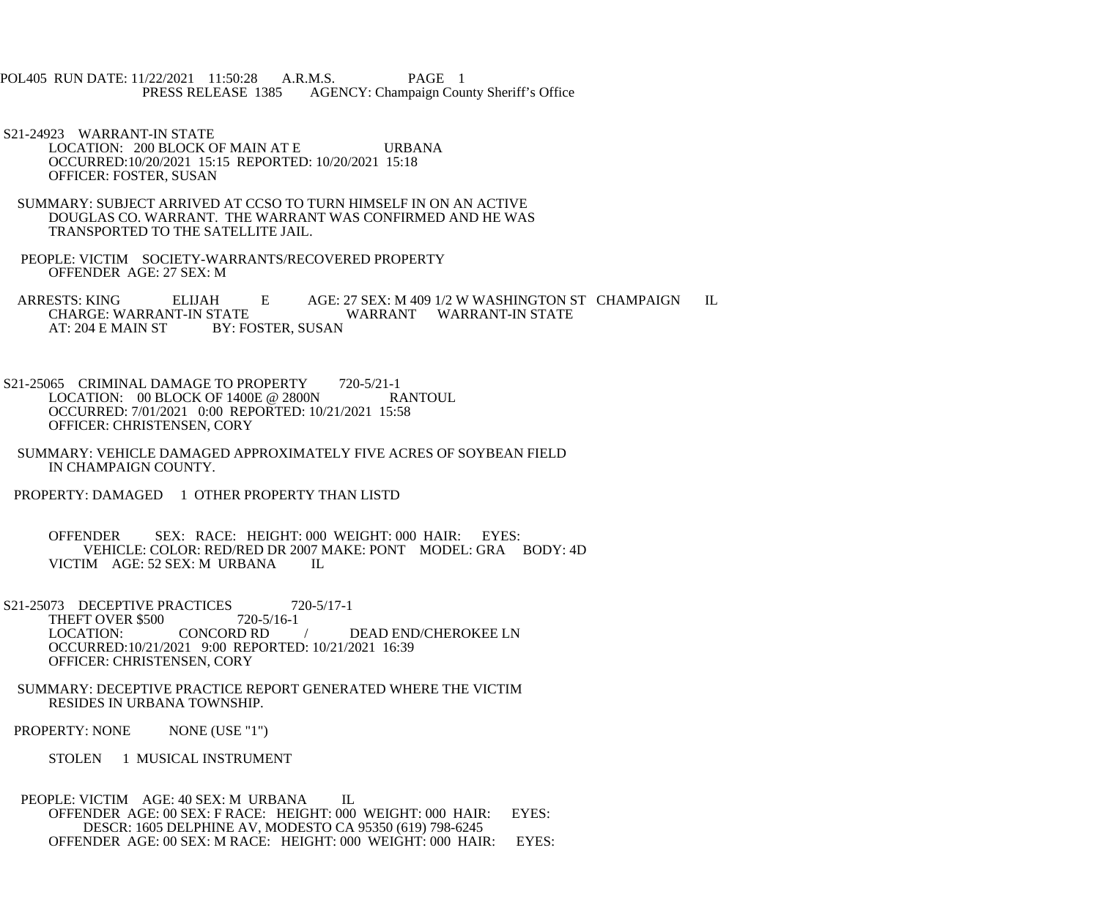POL405 RUN DATE: 11/22/2021 11:50:28 A.R.M.S. PAGE 1 AGENCY: Champaign County Sheriff's Office

 S21-24923 WARRANT-IN STATE LOCATION: 200 BLOCK OF MAIN AT E URBANA OCCURRED:10/20/2021 15:15 REPORTED: 10/20/2021 15:18 OFFICER: FOSTER, SUSAN

- SUMMARY: SUBJECT ARRIVED AT CCSO TO TURN HIMSELF IN ON AN ACTIVE DOUGLAS CO. WARRANT. THE WARRANT WAS CONFIRMED AND HE WAS TRANSPORTED TO THE SATELLITE JAIL.
- PEOPLE: VICTIM SOCIETY-WARRANTS/RECOVERED PROPERTY OFFENDER AGE: 27 SEX: M

ARRESTS: KING ELIJAH E AGE: 27 SEX: M 409 1/2 W WASHINGTON ST CHAMPAIGN IL CHARGE: WARRANT-IN STATE CHARGE: WARRANT-IN STATE WARRANT WARRANT-IN STATE<br>AT: 204 E MAIN ST BY: FOSTER, SUSAN BY: FOSTER, SUSAN

S21-25065 CRIMINAL DAMAGE TO PROPERTY 720-5/21-1<br>LOCATION: 00 BLOCK OF 1400E @ 2800N RANTOUL LOCATION:  $00$  BLOCK OF 1400E @ 2800N OCCURRED: 7/01/2021 0:00 REPORTED: 10/21/2021 15:58 OFFICER: CHRISTENSEN, CORY

 SUMMARY: VEHICLE DAMAGED APPROXIMATELY FIVE ACRES OF SOYBEAN FIELD IN CHAMPAIGN COUNTY.

PROPERTY: DAMAGED 1 OTHER PROPERTY THAN LISTD

 OFFENDER SEX: RACE: HEIGHT: 000 WEIGHT: 000 HAIR: EYES: VEHICLE: COLOR: RED/RED DR 2007 MAKE: PONT MODEL: GRA BODY: 4D VICTIM AGE: 52 SEX: M URBANA IL

S21-25073 DECEPTIVE PRACTICES 720-5/17-1<br>THEFT OVER \$500 720-5/16-1 THEFT OVER \$500 720-5/16-20-5/16-16-20-5/16-16-20-5 / DEAD END/CHEROKEE LN OCCURRED:10/21/2021 9:00 REPORTED: 10/21/2021 16:39 OFFICER: CHRISTENSEN, CORY

 SUMMARY: DECEPTIVE PRACTICE REPORT GENERATED WHERE THE VICTIM RESIDES IN URBANA TOWNSHIP.

PROPERTY: NONE NONE (USE "1")

STOLEN 1 MUSICAL INSTRUMENT

PEOPLE: VICTIM AGE: 40 SEX: M URBANA IL OFFENDER AGE: 00 SEX: F RACE: HEIGHT: 000 WEIGHT: 000 HAIR: EYES: DESCR: 1605 DELPHINE AV, MODESTO CA 95350 (619) 798-6245 OFFENDER AGE: 00 SEX: M RACE: HEIGHT: 000 WEIGHT: 000 HAIR: EYES: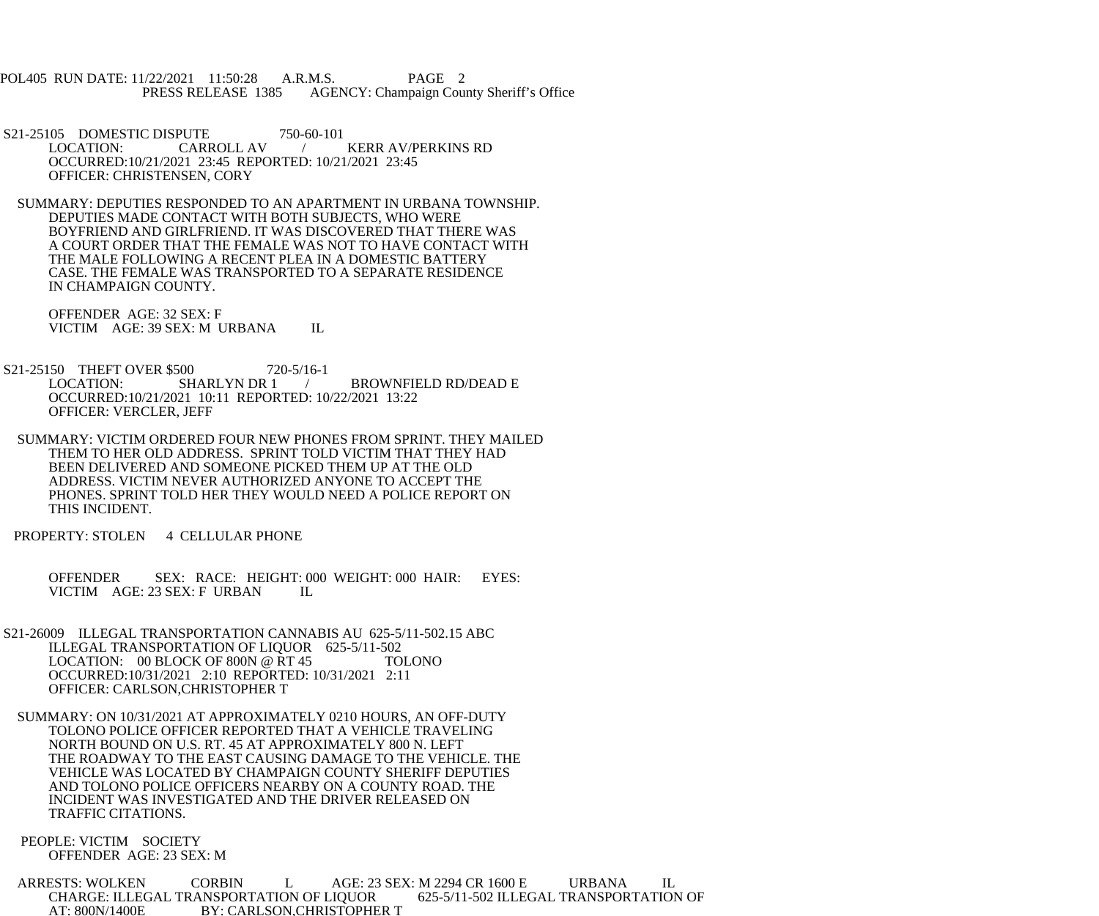POL405 RUN DATE: 11/22/2021 11:50:28 A.R.M.S. PAGE 2<br>PRESS RELEASE 1385 AGENCY: Champaign Cou AGENCY: Champaign County Sheriff's Office

S21-25105 DOMESTIC DISPUTE 750-60-101<br>LOCATION: CARROLL AV KERR AV/PERKINS RD OCCURRED:10/21/2021 23:45 REPORTED: 10/21/2021 23:45 OFFICER: CHRISTENSEN, CORY

 SUMMARY: DEPUTIES RESPONDED TO AN APARTMENT IN URBANA TOWNSHIP. DEPUTIES MADE CONTACT WITH BOTH SUBJECTS, WHO WERE BOYFRIEND AND GIRLFRIEND. IT WAS DISCOVERED THAT THERE WAS A COURT ORDER THAT THE FEMALE WAS NOT TO HAVE CONTACT WITH THE MALE FOLLOWING A RECENT PLEA IN A DOMESTIC BATTERY CASE. THE FEMALE WAS TRANSPORTED TO A SEPARATE RESIDENCE IN CHAMPAIGN COUNTY.

 OFFENDER AGE: 32 SEX: F VICTIM AGE: 39 SEX: M URBANA IL

S21-25150 THEFT OVER \$500 720-5/16-1<br>LOCATION: SHARLYN DR 1 LOCATION: SHARLYN DR 1 / BROWNFIELD RD/DEAD E OCCURRED:10/21/2021 10:11 REPORTED: 10/22/2021 13:22 OFFICER: VERCLER, JEFF

 SUMMARY: VICTIM ORDERED FOUR NEW PHONES FROM SPRINT. THEY MAILED THEM TO HER OLD ADDRESS. SPRINT TOLD VICTIM THAT THEY HAD BEEN DELIVERED AND SOMEONE PICKED THEM UP AT THE OLD ADDRESS. VICTIM NEVER AUTHORIZED ANYONE TO ACCEPT THE PHONES. SPRINT TOLD HER THEY WOULD NEED A POLICE REPORT ON THIS INCIDENT.

PROPERTY: STOLEN 4 CELLULAR PHONE

 OFFENDER SEX: RACE: HEIGHT: 000 WEIGHT: 000 HAIR: EYES: VICTIM AGE: 23 SEX: F URBAN IL

 S21-26009 ILLEGAL TRANSPORTATION CANNABIS AU 625-5/11-502.15 ABC ILLEGAL TRANSPORTATION OF LIQUOR 625-5/11-502 LOCATION: 00 BLOCK OF 800N @ RT 45 TOLONO OCCURRED:10/31/2021 2:10 REPORTED: 10/31/2021 2:11 OFFICER: CARLSON,CHRISTOPHER T

 SUMMARY: ON 10/31/2021 AT APPROXIMATELY 0210 HOURS, AN OFF-DUTY TOLONO POLICE OFFICER REPORTED THAT A VEHICLE TRAVELING NORTH BOUND ON U.S. RT. 45 AT APPROXIMATELY 800 N. LEFT THE ROADWAY TO THE EAST CAUSING DAMAGE TO THE VEHICLE. THE VEHICLE WAS LOCATED BY CHAMPAIGN COUNTY SHERIFF DEPUTIES AND TOLONO POLICE OFFICERS NEARBY ON A COUNTY ROAD. THE INCIDENT WAS INVESTIGATED AND THE DRIVER RELEASED ON TRAFFIC CITATIONS.

 PEOPLE: VICTIM SOCIETY OFFENDER AGE: 23 SEX: M

ARRESTS: WOLKEN CORBIN L AGE: 23 SEX: M 2294 CR 1600 E URBANA IL<br>CHARGE: ILLEGAL TRANSPORTATION OF LIQUOR 625-5/11-502 ILLEGAL TRANSPORTATION OF CHARGE: ILLEGAL TRANSPORTATION OF LIQUOR AT: 800N/1400E BY: CARLSON, CHRISTOPHER T